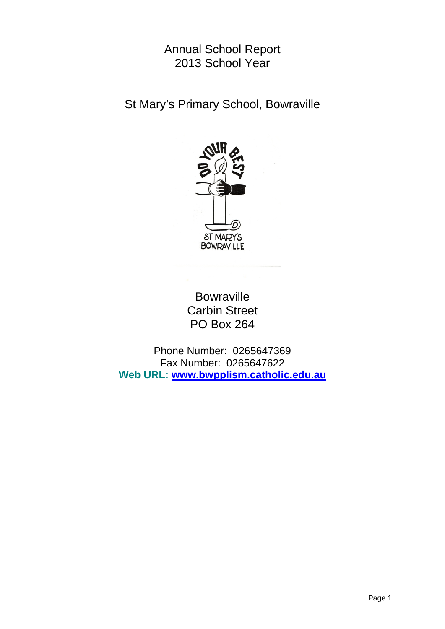# Annual School Report 2013 School Year

St Mary's Primary School, Bowraville



**Bowraville** Carbin Street PO Box 264

Phone Number: 0265647369 Fax Number: 0265647622 **Web URL: www.bwpplism.catholic.edu.au**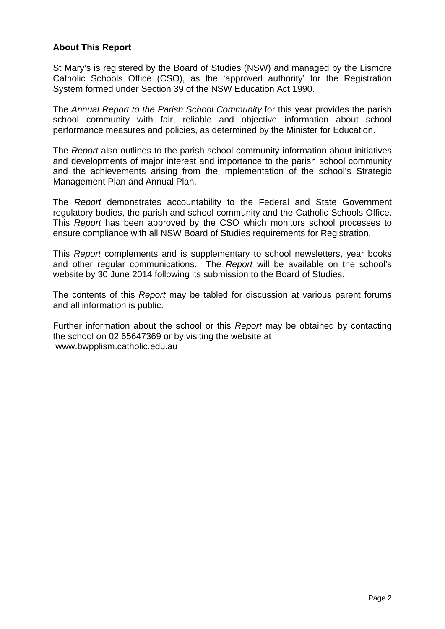# **About This Report**

St Mary's is registered by the Board of Studies (NSW) and managed by the Lismore Catholic Schools Office (CSO), as the 'approved authority' for the Registration System formed under Section 39 of the NSW Education Act 1990.

The *Annual Report to the Parish School Community* for this year provides the parish school community with fair, reliable and objective information about school performance measures and policies, as determined by the Minister for Education.

The *Report* also outlines to the parish school community information about initiatives and developments of major interest and importance to the parish school community and the achievements arising from the implementation of the school's Strategic Management Plan and Annual Plan.

The *Report* demonstrates accountability to the Federal and State Government regulatory bodies, the parish and school community and the Catholic Schools Office. This *Report* has been approved by the CSO which monitors school processes to ensure compliance with all NSW Board of Studies requirements for Registration.

This *Report* complements and is supplementary to school newsletters, year books and other regular communications. The *Report* will be available on the school's website by 30 June 2014 following its submission to the Board of Studies.

The contents of this *Report* may be tabled for discussion at various parent forums and all information is public.

Further information about the school or this *Report* may be obtained by contacting the school on 02 65647369 or by visiting the website at www.bwpplism.catholic.edu.au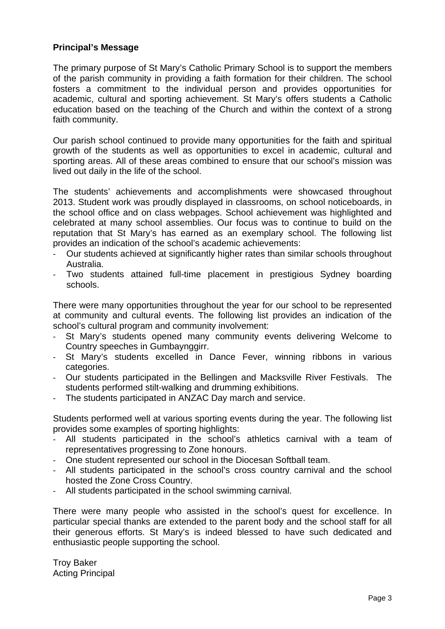## **Principal's Message**

The primary purpose of St Mary's Catholic Primary School is to support the members of the parish community in providing a faith formation for their children. The school fosters a commitment to the individual person and provides opportunities for academic, cultural and sporting achievement. St Mary's offers students a Catholic education based on the teaching of the Church and within the context of a strong faith community.

Our parish school continued to provide many opportunities for the faith and spiritual growth of the students as well as opportunities to excel in academic, cultural and sporting areas. All of these areas combined to ensure that our school's mission was lived out daily in the life of the school.

The students' achievements and accomplishments were showcased throughout 2013. Student work was proudly displayed in classrooms, on school noticeboards, in the school office and on class webpages. School achievement was highlighted and celebrated at many school assemblies. Our focus was to continue to build on the reputation that St Mary's has earned as an exemplary school. The following list provides an indication of the school's academic achievements:

- Our students achieved at significantly higher rates than similar schools throughout Australia.
- Two students attained full-time placement in prestigious Sydney boarding schools.

There were many opportunities throughout the year for our school to be represented at community and cultural events. The following list provides an indication of the school's cultural program and community involvement:

- St Mary's students opened many community events delivering Welcome to Country speeches in Gumbaynggirr.
- St Mary's students excelled in Dance Fever, winning ribbons in various categories.
- Our students participated in the Bellingen and Macksville River Festivals. The students performed stilt-walking and drumming exhibitions.
- The students participated in ANZAC Day march and service.

Students performed well at various sporting events during the year. The following list provides some examples of sporting highlights:

- All students participated in the school's athletics carnival with a team of representatives progressing to Zone honours.
- One student represented our school in the Diocesan Softball team.
- All students participated in the school's cross country carnival and the school hosted the Zone Cross Country.
- All students participated in the school swimming carnival.

There were many people who assisted in the school's quest for excellence. In particular special thanks are extended to the parent body and the school staff for all their generous efforts. St Mary's is indeed blessed to have such dedicated and enthusiastic people supporting the school.

Troy Baker Acting Principal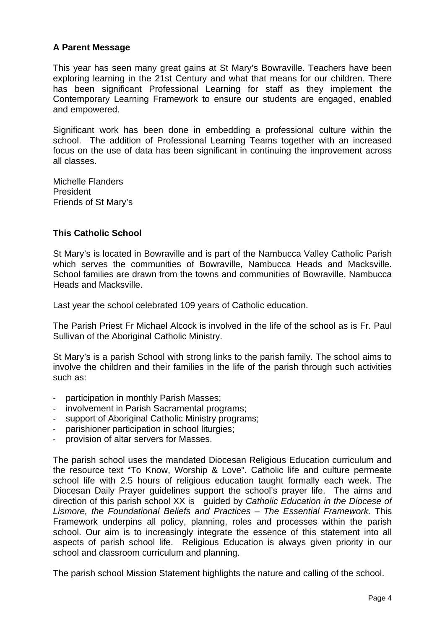# **A Parent Message**

This year has seen many great gains at St Mary's Bowraville. Teachers have been exploring learning in the 21st Century and what that means for our children. There has been significant Professional Learning for staff as they implement the Contemporary Learning Framework to ensure our students are engaged, enabled and empowered.

Significant work has been done in embedding a professional culture within the school. The addition of Professional Learning Teams together with an increased focus on the use of data has been significant in continuing the improvement across all classes.

Michelle Flanders **President** Friends of St Mary's

# **This Catholic School**

St Mary's is located in Bowraville and is part of the Nambucca Valley Catholic Parish which serves the communities of Bowraville, Nambucca Heads and Macksville. School families are drawn from the towns and communities of Bowraville, Nambucca Heads and Macksville.

Last year the school celebrated 109 years of Catholic education.

The Parish Priest Fr Michael Alcock is involved in the life of the school as is Fr. Paul Sullivan of the Aboriginal Catholic Ministry.

St Mary's is a parish School with strong links to the parish family. The school aims to involve the children and their families in the life of the parish through such activities such as:

- participation in monthly Parish Masses;
- involvement in Parish Sacramental programs;
- support of Aboriginal Catholic Ministry programs;
- parishioner participation in school liturgies;
- provision of altar servers for Masses.

The parish school uses the mandated Diocesan Religious Education curriculum and the resource text "To Know, Worship & Love". Catholic life and culture permeate school life with 2.5 hours of religious education taught formally each week. The Diocesan Daily Prayer guidelines support the school's prayer life. The aims and direction of this parish school XX is guided by *Catholic Education in the Diocese of Lismore, the Foundational Beliefs and Practices – The Essential Framework.* This Framework underpins all policy, planning, roles and processes within the parish school. Our aim is to increasingly integrate the essence of this statement into all aspects of parish school life. Religious Education is always given priority in our school and classroom curriculum and planning.

The parish school Mission Statement highlights the nature and calling of the school.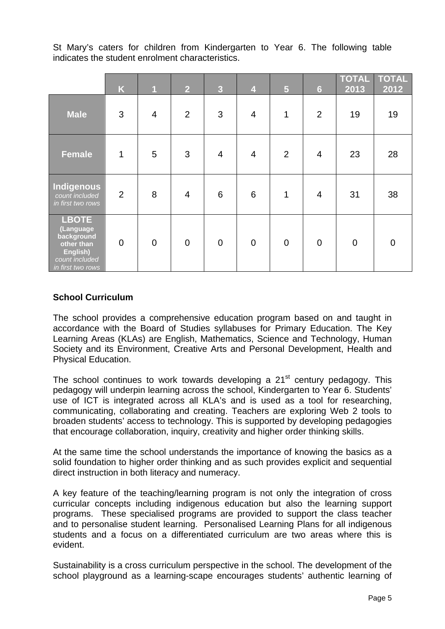St Mary's caters for children from Kindergarten to Year 6. The following table indicates the student enrolment characteristics.

|                                                                                                          | K           | $\overline{1}$ | 2 <sup>1</sup> | $\overline{3}$  | $\overline{\mathbf{4}}$ | $5\phantom{1}$ | $6\phantom{a}$ | <b>TOTAL</b><br>2013 | <b>TOTAL</b><br>2012 |
|----------------------------------------------------------------------------------------------------------|-------------|----------------|----------------|-----------------|-------------------------|----------------|----------------|----------------------|----------------------|
| <b>Male</b>                                                                                              | 3           | $\overline{4}$ | $\overline{2}$ | 3               | 4                       | 1              | $\overline{2}$ | 19                   | 19                   |
| <b>Female</b>                                                                                            | $\mathbf 1$ | 5              | 3              | $\overline{4}$  | $\overline{4}$          | 2              | $\overline{4}$ | 23                   | 28                   |
| Indigenous<br>count included<br>in first two rows                                                        | 2           | 8              | $\overline{4}$ | $6\phantom{1}6$ | $6\phantom{1}$          | $\mathbf 1$    | $\overline{4}$ | 31                   | 38                   |
| <b>LBOTE</b><br>(Language<br>background<br>other than<br>English)<br>count included<br>in first two rows | $\mathbf 0$ | $\overline{0}$ | $\mathbf 0$    | $\overline{0}$  | $\overline{0}$          | $\overline{0}$ | $\mathbf 0$    | $\overline{0}$       | $\overline{0}$       |

# **School Curriculum**

The school provides a comprehensive education program based on and taught in accordance with the Board of Studies syllabuses for Primary Education. The Key Learning Areas (KLAs) are English, Mathematics, Science and Technology, Human Society and its Environment, Creative Arts and Personal Development, Health and Physical Education.

The school continues to work towards developing a  $21<sup>st</sup>$  century pedagogy. This pedagogy will underpin learning across the school, Kindergarten to Year 6. Students' use of ICT is integrated across all KLA's and is used as a tool for researching, communicating, collaborating and creating. Teachers are exploring Web 2 tools to broaden students' access to technology. This is supported by developing pedagogies that encourage collaboration, inquiry, creativity and higher order thinking skills.

At the same time the school understands the importance of knowing the basics as a solid foundation to higher order thinking and as such provides explicit and sequential direct instruction in both literacy and numeracy.

A key feature of the teaching/learning program is not only the integration of cross curricular concepts including indigenous education but also the learning support programs. These specialised programs are provided to support the class teacher and to personalise student learning. Personalised Learning Plans for all indigenous students and a focus on a differentiated curriculum are two areas where this is evident.

Sustainability is a cross curriculum perspective in the school. The development of the school playground as a learning-scape encourages students' authentic learning of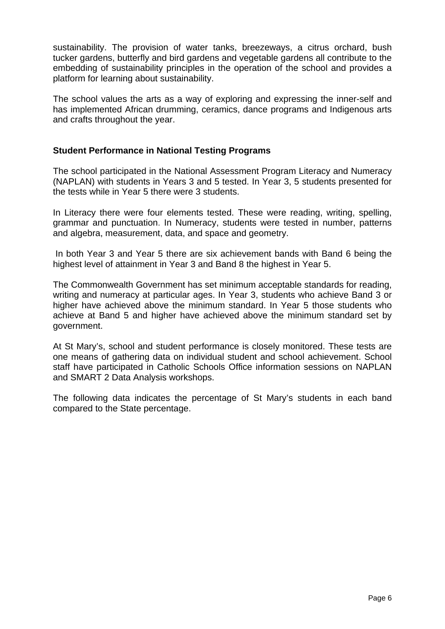sustainability. The provision of water tanks, breezeways, a citrus orchard, bush tucker gardens, butterfly and bird gardens and vegetable gardens all contribute to the embedding of sustainability principles in the operation of the school and provides a platform for learning about sustainability.

The school values the arts as a way of exploring and expressing the inner-self and has implemented African drumming, ceramics, dance programs and Indigenous arts and crafts throughout the year.

## **Student Performance in National Testing Programs**

The school participated in the National Assessment Program Literacy and Numeracy (NAPLAN) with students in Years 3 and 5 tested. In Year 3, 5 students presented for the tests while in Year 5 there were 3 students.

In Literacy there were four elements tested. These were reading, writing, spelling, grammar and punctuation. In Numeracy, students were tested in number, patterns and algebra, measurement, data, and space and geometry.

 In both Year 3 and Year 5 there are six achievement bands with Band 6 being the highest level of attainment in Year 3 and Band 8 the highest in Year 5.

The Commonwealth Government has set minimum acceptable standards for reading, writing and numeracy at particular ages. In Year 3, students who achieve Band 3 or higher have achieved above the minimum standard. In Year 5 those students who achieve at Band 5 and higher have achieved above the minimum standard set by government.

At St Mary's, school and student performance is closely monitored. These tests are one means of gathering data on individual student and school achievement. School staff have participated in Catholic Schools Office information sessions on NAPLAN and SMART 2 Data Analysis workshops.

The following data indicates the percentage of St Mary's students in each band compared to the State percentage.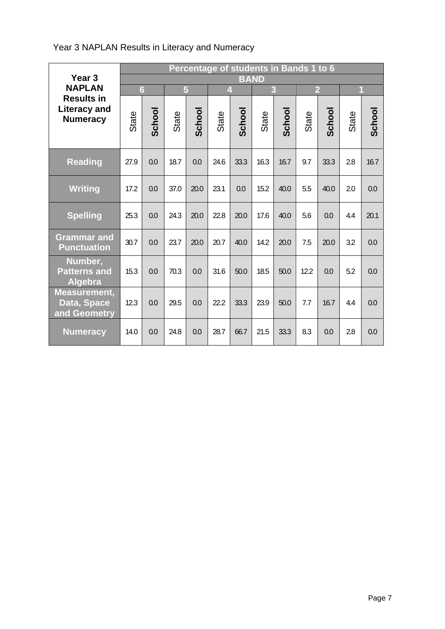# Year 3 NAPLAN Results in Literacy and Numeracy

| Year <sub>3</sub>                                           | Percentage of students in Bands 1 to 6<br><b>BAND</b> |        |       |                               |       |        |       |        |       |        |       |        |
|-------------------------------------------------------------|-------------------------------------------------------|--------|-------|-------------------------------|-------|--------|-------|--------|-------|--------|-------|--------|
| <b>NAPLAN</b>                                               | $6\overline{6}$                                       |        |       | 5<br>3<br>$\overline{2}$<br>4 |       |        |       |        | 1     |        |       |        |
| <b>Results in</b><br><b>Literacy and</b><br><b>Numeracy</b> | State                                                 | School | State | School                        | State | School | State | School | State | School | State | School |
| <b>Reading</b>                                              | 27.9                                                  | 0.0    | 18.7  | 0.0                           | 24.6  | 33.3   | 16.3  | 16.7   | 9.7   | 33.3   | 2.8   | 16.7   |
| <b>Writing</b>                                              | 17.2                                                  | 0.0    | 37.0  | 20.0                          | 23.1  | 0.0    | 15.2  | 40.0   | 5.5   | 40.0   | 2.0   | 0.0    |
| <b>Spelling</b>                                             | 25.3                                                  | 0.0    | 24.3  | 20.0                          | 22.8  | 20.0   | 17.6  | 40.0   | 5.6   | 0.0    | 4.4   | 20.1   |
| <b>Grammar and</b><br><b>Punctuation</b>                    | 30.7                                                  | 0.0    | 23.7  | 20.0                          | 20.7  | 40.0   | 14.2  | 20.0   | 7.5   | 20.0   | 3.2   | 0.0    |
| Number,<br><b>Patterns and</b><br>Algebra                   | 15.3                                                  | 0.0    | 70.3  | 0.0                           | 31.6  | 50.0   | 18.5  | 50.0   | 12.2  | 0.0    | 5.2   | 0.0    |
| Measurement,<br>Data, Space<br>and Geometry                 | 12.3                                                  | 0.0    | 29.5  | 0.0                           | 22.2  | 33.3   | 23.9  | 50.0   | 7.7   | 16.7   | 4.4   | 0.0    |
| <b>Numeracy</b>                                             | 14.0                                                  | 0.0    | 24.8  | 0.0                           | 28.7  | 66.7   | 21.5  | 33.3   | 8.3   | 0.0    | 2.8   | 0.0    |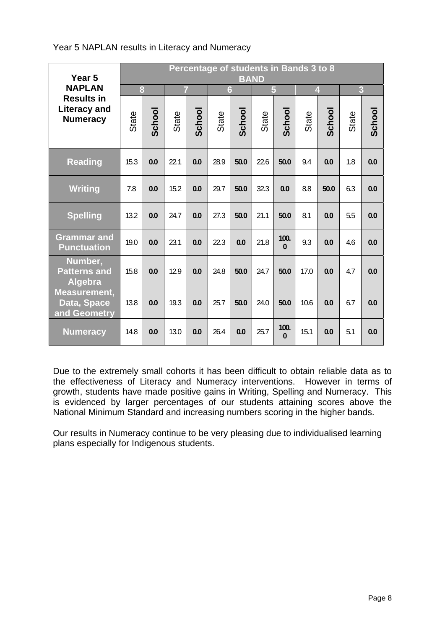# Year 5 NAPLAN results in Literacy and Numeracy

| Year <sub>5</sub>                                           | Percentage of students in Bands 3 to 8<br><b>BAND</b> |        |       |        |       |        |       |                  |                         |        |                |        |
|-------------------------------------------------------------|-------------------------------------------------------|--------|-------|--------|-------|--------|-------|------------------|-------------------------|--------|----------------|--------|
| <b>NAPLAN</b>                                               | 8                                                     |        | 7     |        | 6     |        | 5     |                  | $\overline{\mathbf{4}}$ |        | $\overline{3}$ |        |
| <b>Results in</b><br><b>Literacy and</b><br><b>Numeracy</b> | State                                                 | School | State | School | State | School | State | School           | State                   | School | State          | School |
| <b>Reading</b>                                              | 15.3                                                  | 0.0    | 22.1  | 0.0    | 28.9  | 50.0   | 22.6  | 50.0             | 9.4                     | 0.0    | 1.8            | 0.0    |
| <b>Writing</b>                                              | 7.8                                                   | 0.0    | 15.2  | 0.0    | 29.7  | 50.0   | 32.3  | 0.0              | 8.8                     | 50.0   | 6.3            | 0.0    |
| <b>Spelling</b>                                             | 13.2                                                  | 0.0    | 24.7  | 0.0    | 27.3  | 50.0   | 21.1  | 50.0             | 8.1                     | 0.0    | 5.5            | 0.0    |
| <b>Grammar and</b><br><b>Punctuation</b>                    | 19.0                                                  | 0.0    | 23.1  | 0.0    | 22.3  | 0.0    | 21.8  | 100.<br>$\Omega$ | 9.3                     | 0.0    | 4.6            | 0.0    |
| Number,<br><b>Patterns and</b><br><b>Algebra</b>            | 15.8                                                  | 0.0    | 12.9  | 0.0    | 24.8  | 50.0   | 24.7  | 50.0             | 17.0                    | 0.0    | 4.7            | 0.0    |
| <b>Measurement,</b><br>Data, Space<br>and Geometry          | 13.8                                                  | 0.0    | 19.3  | 0.0    | 25.7  | 50.0   | 24.0  | 50.0             | 10.6                    | 0.0    | 6.7            | 0.0    |
| <b>Numeracy</b>                                             | 14.8                                                  | 0.0    | 13.0  | 0.0    | 26.4  | 0.0    | 25.7  | 100.<br>$\Omega$ | 15.1                    | 0.0    | 5.1            | 0.0    |

Due to the extremely small cohorts it has been difficult to obtain reliable data as to the effectiveness of Literacy and Numeracy interventions. However in terms of growth, students have made positive gains in Writing, Spelling and Numeracy. This is evidenced by larger percentages of our students attaining scores above the National Minimum Standard and increasing numbers scoring in the higher bands.

Our results in Numeracy continue to be very pleasing due to individualised learning plans especially for Indigenous students.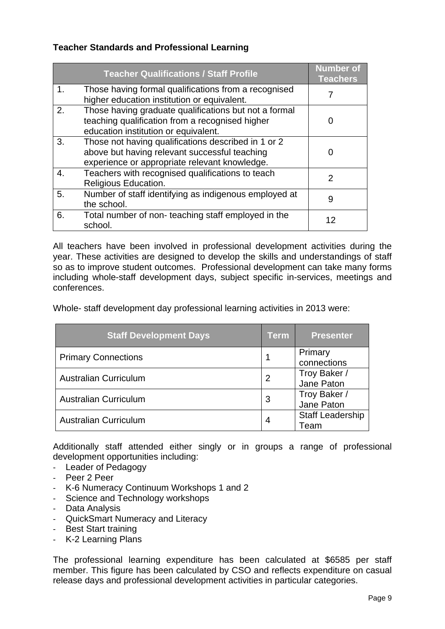# **Teacher Standards and Professional Learning**

|                | <b>Teacher Qualifications / Staff Profile</b>                                                                                                         | <b>Number of</b><br><b>Teachers</b> |
|----------------|-------------------------------------------------------------------------------------------------------------------------------------------------------|-------------------------------------|
| $\mathbf{1}$ . | Those having formal qualifications from a recognised<br>higher education institution or equivalent.                                                   |                                     |
| 2.             | Those having graduate qualifications but not a formal<br>teaching qualification from a recognised higher<br>education institution or equivalent.      | 0                                   |
| 3.             | Those not having qualifications described in 1 or 2<br>above but having relevant successful teaching<br>experience or appropriate relevant knowledge. | 0                                   |
| 4.             | Teachers with recognised qualifications to teach<br>Religious Education.                                                                              | $\overline{2}$                      |
| 5.             | Number of staff identifying as indigenous employed at<br>the school.                                                                                  | 9                                   |
| 6.             | Total number of non-teaching staff employed in the<br>school.                                                                                         | 12                                  |

All teachers have been involved in professional development activities during the year. These activities are designed to develop the skills and understandings of staff so as to improve student outcomes. Professional development can take many forms including whole-staff development days, subject specific in-services, meetings and conferences.

Whole- staff development day professional learning activities in 2013 were:

| <b>Staff Development Days</b> | Term           | <b>Presenter</b>                |
|-------------------------------|----------------|---------------------------------|
| <b>Primary Connections</b>    |                | Primary<br>connections          |
| <b>Australian Curriculum</b>  | $\overline{2}$ | Troy Baker /<br>Jane Paton      |
| <b>Australian Curriculum</b>  | 3              | Troy Baker /<br>Jane Paton      |
| <b>Australian Curriculum</b>  | 4              | <b>Staff Leadership</b><br>Team |

Additionally staff attended either singly or in groups a range of professional development opportunities including:

- Leader of Pedagogy
- Peer 2 Peer
- K-6 Numeracy Continuum Workshops 1 and 2
- Science and Technology workshops
- Data Analysis
- QuickSmart Numeracy and Literacy
- Best Start training
- K-2 Learning Plans

The professional learning expenditure has been calculated at \$6585 per staff member. This figure has been calculated by CSO and reflects expenditure on casual release days and professional development activities in particular categories.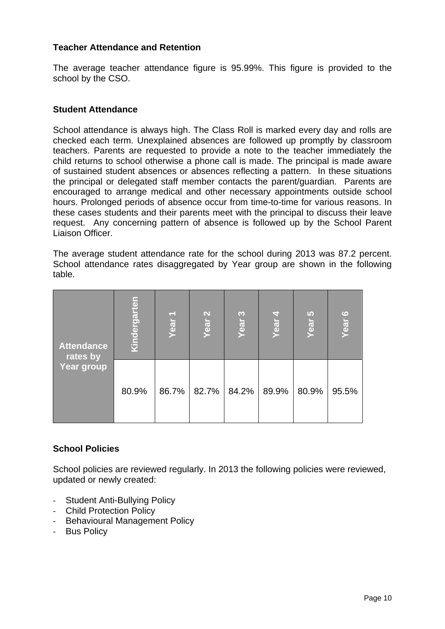#### **Teacher Attendance and Retention**

The average teacher attendance figure is 95.99%. This figure is provided to the school by the CSO.

#### **Student Attendance**

School attendance is always high. The Class Roll is marked every day and rolls are checked each term. Unexplained absences are followed up promptly by classroom teachers. Parents are requested to provide a note to the teacher immediately the child returns to school otherwise a phone call is made. The principal is made aware of sustained student absences or absences reflecting a pattern. In these situations the principal or delegated staff member contacts the parent/guardian. Parents are encouraged to arrange medical and other necessary appointments outside school hours. Prolonged periods of absence occur from time-to-time for various reasons. In these cases students and their parents meet with the principal to discuss their leave request. Any concerning pattern of absence is followed up by the School Parent Liaison Officer.

The average student attendance rate for the school during 2013 was 87.2 percent. School attendance rates disaggregated by Year group are shown in the following table.

| <b>Attendance</b><br>rates by<br>Year group | <u>Kindergarten</u><br>P<br>Year |       | $\mathbf{\Omega}$<br>Year | S<br>Year | न<br>Year | $\mathbf{D}$<br>Year | $\circ$<br>Year |
|---------------------------------------------|----------------------------------|-------|---------------------------|-----------|-----------|----------------------|-----------------|
|                                             | 80.9%                            | 86.7% | 82.7%                     | 84.2%     | 89.9%     | 80.9%                | 95.5%           |

## **School Policies**

School policies are reviewed regularly. In 2013 the following policies were reviewed, updated or newly created:

- Student Anti-Bullying Policy
- Child Protection Policy
- Behavioural Management Policy
- Bus Policy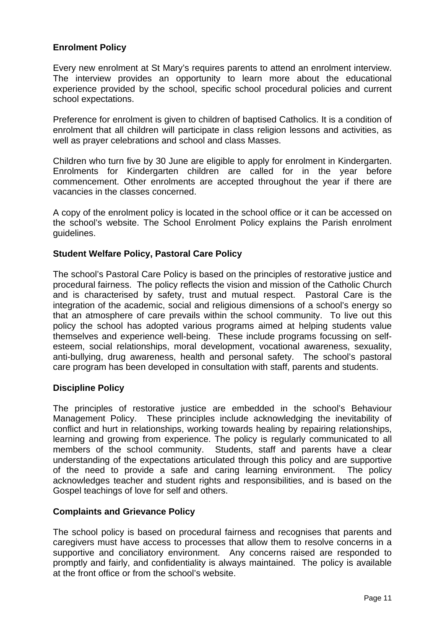# **Enrolment Policy**

Every new enrolment at St Mary's requires parents to attend an enrolment interview. The interview provides an opportunity to learn more about the educational experience provided by the school, specific school procedural policies and current school expectations.

Preference for enrolment is given to children of baptised Catholics. It is a condition of enrolment that all children will participate in class religion lessons and activities, as well as prayer celebrations and school and class Masses.

Children who turn five by 30 June are eligible to apply for enrolment in Kindergarten. Enrolments for Kindergarten children are called for in the year before commencement. Other enrolments are accepted throughout the year if there are vacancies in the classes concerned.

A copy of the enrolment policy is located in the school office or it can be accessed on the school's website. The School Enrolment Policy explains the Parish enrolment guidelines.

## **Student Welfare Policy, Pastoral Care Policy**

The school's Pastoral Care Policy is based on the principles of restorative justice and procedural fairness. The policy reflects the vision and mission of the Catholic Church and is characterised by safety, trust and mutual respect. Pastoral Care is the integration of the academic, social and religious dimensions of a school's energy so that an atmosphere of care prevails within the school community. To live out this policy the school has adopted various programs aimed at helping students value themselves and experience well-being. These include programs focussing on selfesteem, social relationships, moral development, vocational awareness, sexuality, anti-bullying, drug awareness, health and personal safety. The school's pastoral care program has been developed in consultation with staff, parents and students.

## **Discipline Policy**

The principles of restorative justice are embedded in the school's Behaviour Management Policy. These principles include acknowledging the inevitability of conflict and hurt in relationships, working towards healing by repairing relationships, learning and growing from experience. The policy is regularly communicated to all members of the school community. Students, staff and parents have a clear understanding of the expectations articulated through this policy and are supportive of the need to provide a safe and caring learning environment. The policy acknowledges teacher and student rights and responsibilities, and is based on the Gospel teachings of love for self and others.

## **Complaints and Grievance Policy**

The school policy is based on procedural fairness and recognises that parents and caregivers must have access to processes that allow them to resolve concerns in a supportive and conciliatory environment. Any concerns raised are responded to promptly and fairly, and confidentiality is always maintained. The policy is available at the front office or from the school's website.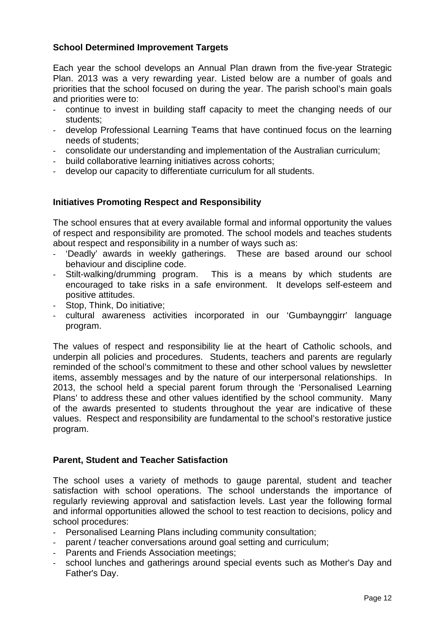# **School Determined Improvement Targets**

Each year the school develops an Annual Plan drawn from the five-year Strategic Plan. 2013 was a very rewarding year. Listed below are a number of goals and priorities that the school focused on during the year. The parish school's main goals and priorities were to:

- continue to invest in building staff capacity to meet the changing needs of our students;
- develop Professional Learning Teams that have continued focus on the learning needs of students;
- consolidate our understanding and implementation of the Australian curriculum;
- build collaborative learning initiatives across cohorts;
- develop our capacity to differentiate curriculum for all students.

## **Initiatives Promoting Respect and Responsibility**

The school ensures that at every available formal and informal opportunity the values of respect and responsibility are promoted. The school models and teaches students about respect and responsibility in a number of ways such as:

- 'Deadly' awards in weekly gatherings. These are based around our school behaviour and discipline code.
- Stilt-walking/drumming program. This is a means by which students are encouraged to take risks in a safe environment. It develops self-esteem and positive attitudes.
- Stop, Think, Do initiative;
- cultural awareness activities incorporated in our 'Gumbaynggirr' language program.

The values of respect and responsibility lie at the heart of Catholic schools, and underpin all policies and procedures. Students, teachers and parents are regularly reminded of the school's commitment to these and other school values by newsletter items, assembly messages and by the nature of our interpersonal relationships. In 2013, the school held a special parent forum through the 'Personalised Learning Plans' to address these and other values identified by the school community. Many of the awards presented to students throughout the year are indicative of these values. Respect and responsibility are fundamental to the school's restorative justice program.

## **Parent, Student and Teacher Satisfaction**

The school uses a variety of methods to gauge parental, student and teacher satisfaction with school operations. The school understands the importance of regularly reviewing approval and satisfaction levels. Last year the following formal and informal opportunities allowed the school to test reaction to decisions, policy and school procedures:

- Personalised Learning Plans including community consultation:
- parent / teacher conversations around goal setting and curriculum;
- Parents and Friends Association meetings;
- school lunches and gatherings around special events such as Mother's Day and Father's Day.